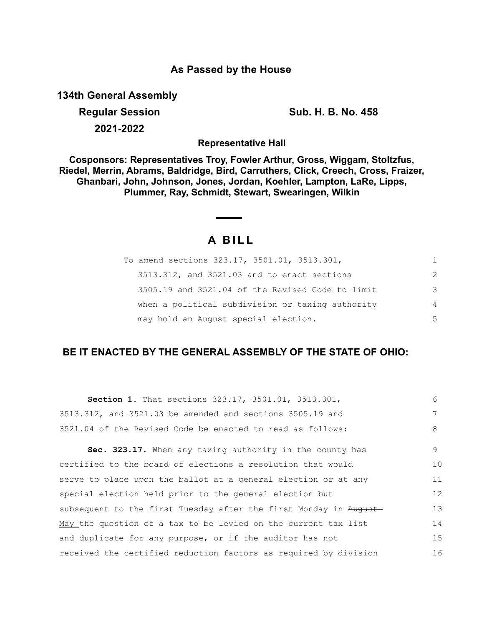## **As Passed by the House**

**134th General Assembly**

**Regular Session Sub. H. B. No. 458 2021-2022**

**Representative Hall**

**Cosponsors: Representatives Troy, Fowler Arthur, Gross, Wiggam, Stoltzfus, Riedel, Merrin, Abrams, Baldridge, Bird, Carruthers, Click, Creech, Cross, Fraizer, Ghanbari, John, Johnson, Jones, Jordan, Koehler, Lampton, LaRe, Lipps, Plummer, Ray, Schmidt, Stewart, Swearingen, Wilkin**

# **A B I L L**

| To amend sections 323.17, 3501.01, 3513.301,     | 1.            |
|--------------------------------------------------|---------------|
| 3513.312, and 3521.03 and to enact sections      | $\mathcal{P}$ |
| 3505.19 and 3521.04 of the Revised Code to limit | 3             |
| when a political subdivision or taxing authority | 4             |
| may hold an August special election.             | 5             |

## **BE IT ENACTED BY THE GENERAL ASSEMBLY OF THE STATE OF OHIO:**

| <b>Section 1.</b> That sections 323.17, 3501.01, 3513.301,       | 6  |
|------------------------------------------------------------------|----|
| 3513.312, and 3521.03 be amended and sections 3505.19 and        | 7  |
| 3521.04 of the Revised Code be enacted to read as follows:       | 8  |
| Sec. 323.17. When any taxing authority in the county has         | 9  |
| certified to the board of elections a resolution that would      | 10 |
| serve to place upon the ballot at a general election or at any   | 11 |
| special election held prior to the general election but          | 12 |
| subsequent to the first Tuesday after the first Monday in August | 13 |
| May the question of a tax to be levied on the current tax list   | 14 |
| and duplicate for any purpose, or if the auditor has not         | 15 |
| received the certified reduction factors as required by division | 16 |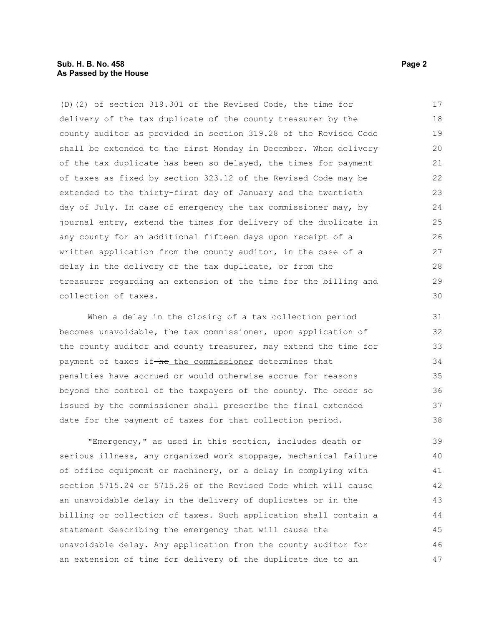#### **Sub. H. B. No. 458 Page 2 As Passed by the House**

(D)(2) of section 319.301 of the Revised Code, the time for delivery of the tax duplicate of the county treasurer by the county auditor as provided in section 319.28 of the Revised Code shall be extended to the first Monday in December. When delivery of the tax duplicate has been so delayed, the times for payment of taxes as fixed by section 323.12 of the Revised Code may be extended to the thirty-first day of January and the twentieth day of July. In case of emergency the tax commissioner may, by journal entry, extend the times for delivery of the duplicate in any county for an additional fifteen days upon receipt of a written application from the county auditor, in the case of a delay in the delivery of the tax duplicate, or from the treasurer regarding an extension of the time for the billing and collection of taxes. 17 18 19 20 21 22 23 24 25 26 27 28 29 30

When a delay in the closing of a tax collection period becomes unavoidable, the tax commissioner, upon application of the county auditor and county treasurer, may extend the time for payment of taxes if-he the commissioner determines that penalties have accrued or would otherwise accrue for reasons beyond the control of the taxpayers of the county. The order so issued by the commissioner shall prescribe the final extended date for the payment of taxes for that collection period. 31 32 33 34 35 36 37 38

"Emergency," as used in this section, includes death or serious illness, any organized work stoppage, mechanical failure of office equipment or machinery, or a delay in complying with section 5715.24 or 5715.26 of the Revised Code which will cause an unavoidable delay in the delivery of duplicates or in the billing or collection of taxes. Such application shall contain a statement describing the emergency that will cause the unavoidable delay. Any application from the county auditor for an extension of time for delivery of the duplicate due to an 39 40 41 42 43 44 45 46 47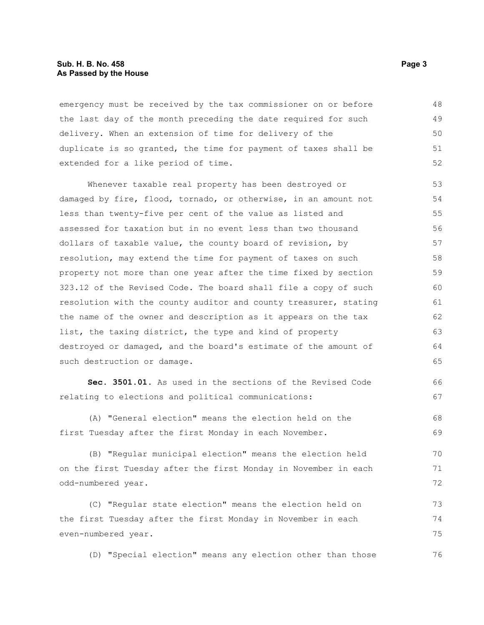#### **Sub. H. B. No. 458 Page 3 As Passed by the House**

emergency must be received by the tax commissioner on or before the last day of the month preceding the date required for such delivery. When an extension of time for delivery of the duplicate is so granted, the time for payment of taxes shall be extended for a like period of time. 48 49 50 51 52

Whenever taxable real property has been destroyed or damaged by fire, flood, tornado, or otherwise, in an amount not less than twenty-five per cent of the value as listed and assessed for taxation but in no event less than two thousand dollars of taxable value, the county board of revision, by resolution, may extend the time for payment of taxes on such property not more than one year after the time fixed by section 323.12 of the Revised Code. The board shall file a copy of such resolution with the county auditor and county treasurer, stating the name of the owner and description as it appears on the tax list, the taxing district, the type and kind of property destroyed or damaged, and the board's estimate of the amount of such destruction or damage. 53 54 55 56 57 58 59 60 61 62 63 64 65

**Sec. 3501.01.** As used in the sections of the Revised Code relating to elections and political communications: 66 67

(A) "General election" means the election held on the first Tuesday after the first Monday in each November. 68 69

(B) "Regular municipal election" means the election held on the first Tuesday after the first Monday in November in each odd-numbered year. 70 71 72

(C) "Regular state election" means the election held on the first Tuesday after the first Monday in November in each even-numbered year. 73 74 75

(D) "Special election" means any election other than those 76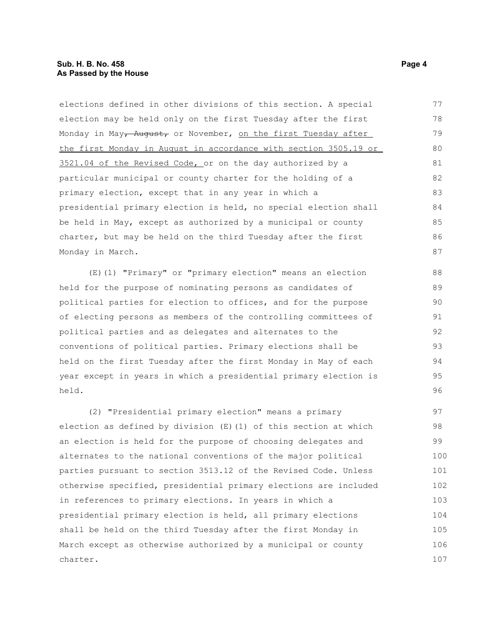#### **Sub. H. B. No. 458 Page 4 As Passed by the House**

elections defined in other divisions of this section. A special election may be held only on the first Tuesday after the first Monday in May, August, or November, on the first Tuesday after the first Monday in August in accordance with section 3505.19 or 3521.04 of the Revised Code, or on the day authorized by a particular municipal or county charter for the holding of a primary election, except that in any year in which a presidential primary election is held, no special election shall be held in May, except as authorized by a municipal or county charter, but may be held on the third Tuesday after the first Monday in March. 77 78 79 80 81 82 83 84 85 86 87

(E)(1) "Primary" or "primary election" means an election held for the purpose of nominating persons as candidates of political parties for election to offices, and for the purpose of electing persons as members of the controlling committees of political parties and as delegates and alternates to the conventions of political parties. Primary elections shall be held on the first Tuesday after the first Monday in May of each year except in years in which a presidential primary election is held.

(2) "Presidential primary election" means a primary election as defined by division (E)(1) of this section at which an election is held for the purpose of choosing delegates and alternates to the national conventions of the major political parties pursuant to section 3513.12 of the Revised Code. Unless otherwise specified, presidential primary elections are included in references to primary elections. In years in which a presidential primary election is held, all primary elections shall be held on the third Tuesday after the first Monday in March except as otherwise authorized by a municipal or county charter. 97 98 99 100 101 102 103 104 105 106 107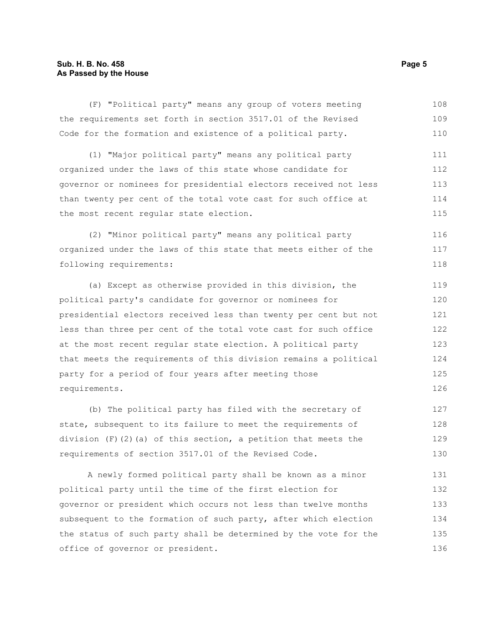#### **Sub. H. B. No. 458 Page 5 As Passed by the House**

(F) "Political party" means any group of voters meeting the requirements set forth in section 3517.01 of the Revised Code for the formation and existence of a political party. (1) "Major political party" means any political party organized under the laws of this state whose candidate for governor or nominees for presidential electors received not less than twenty per cent of the total vote cast for such office at the most recent regular state election. (2) "Minor political party" means any political party organized under the laws of this state that meets either of the following requirements: (a) Except as otherwise provided in this division, the political party's candidate for governor or nominees for presidential electors received less than twenty per cent but not less than three per cent of the total vote cast for such office at the most recent regular state election. A political party 108 109 110 111 112 113 114 115 116 117 118 119 120 121 122 123

that meets the requirements of this division remains a political party for a period of four years after meeting those requirements. 124 125 126

(b) The political party has filed with the secretary of state, subsequent to its failure to meet the requirements of division  $(F)$  (2)(a) of this section, a petition that meets the requirements of section 3517.01 of the Revised Code. 127 128 129 130

A newly formed political party shall be known as a minor political party until the time of the first election for governor or president which occurs not less than twelve months subsequent to the formation of such party, after which election the status of such party shall be determined by the vote for the office of governor or president. 131 132 133 134 135 136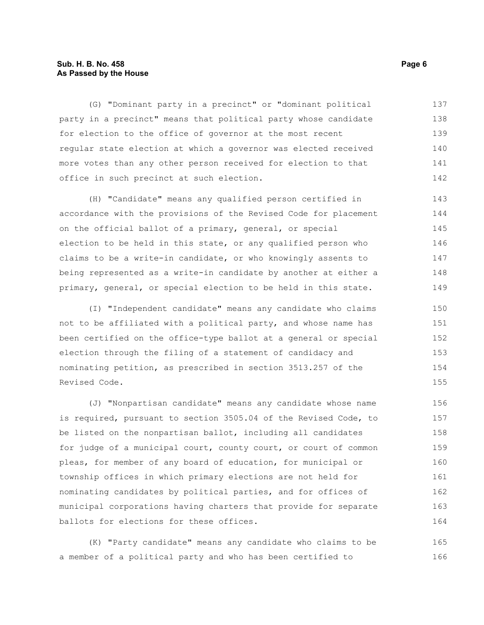#### **Sub. H. B. No. 458 Page 6 As Passed by the House**

(G) "Dominant party in a precinct" or "dominant political party in a precinct" means that political party whose candidate for election to the office of governor at the most recent regular state election at which a governor was elected received more votes than any other person received for election to that office in such precinct at such election. 137 138 139 140 141 142

(H) "Candidate" means any qualified person certified in accordance with the provisions of the Revised Code for placement on the official ballot of a primary, general, or special election to be held in this state, or any qualified person who claims to be a write-in candidate, or who knowingly assents to being represented as a write-in candidate by another at either a primary, general, or special election to be held in this state. 143 144 145 146 147 148 149

(I) "Independent candidate" means any candidate who claims not to be affiliated with a political party, and whose name has been certified on the office-type ballot at a general or special election through the filing of a statement of candidacy and nominating petition, as prescribed in section 3513.257 of the Revised Code.

(J) "Nonpartisan candidate" means any candidate whose name is required, pursuant to section 3505.04 of the Revised Code, to be listed on the nonpartisan ballot, including all candidates for judge of a municipal court, county court, or court of common pleas, for member of any board of education, for municipal or township offices in which primary elections are not held for nominating candidates by political parties, and for offices of municipal corporations having charters that provide for separate ballots for elections for these offices. 156 157 158 159 160 161 162 163 164

(K) "Party candidate" means any candidate who claims to be a member of a political party and who has been certified to 165 166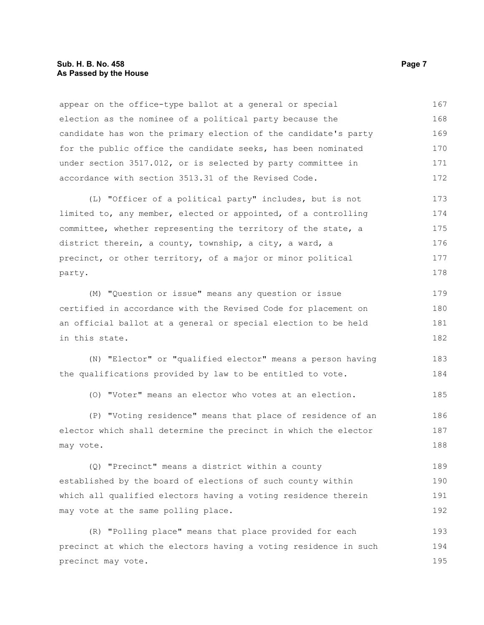#### **Sub. H. B. No. 458 Page 7 As Passed by the House**

appear on the office-type ballot at a general or special election as the nominee of a political party because the candidate has won the primary election of the candidate's party for the public office the candidate seeks, has been nominated under section 3517.012, or is selected by party committee in accordance with section 3513.31 of the Revised Code. 167 168 169 170 171 172

(L) "Officer of a political party" includes, but is not limited to, any member, elected or appointed, of a controlling committee, whether representing the territory of the state, a district therein, a county, township, a city, a ward, a precinct, or other territory, of a major or minor political party. 173 174 175 176 177 178

(M) "Question or issue" means any question or issue certified in accordance with the Revised Code for placement on an official ballot at a general or special election to be held in this state. 179 180 181 182

(N) "Elector" or "qualified elector" means a person having the qualifications provided by law to be entitled to vote. 183 184

(O) "Voter" means an elector who votes at an election. 185

(P) "Voting residence" means that place of residence of an elector which shall determine the precinct in which the elector may vote. 186 187 188

(Q) "Precinct" means a district within a county established by the board of elections of such county within which all qualified electors having a voting residence therein may vote at the same polling place. 189 190 191 192

(R) "Polling place" means that place provided for each precinct at which the electors having a voting residence in such precinct may vote. 193 194 195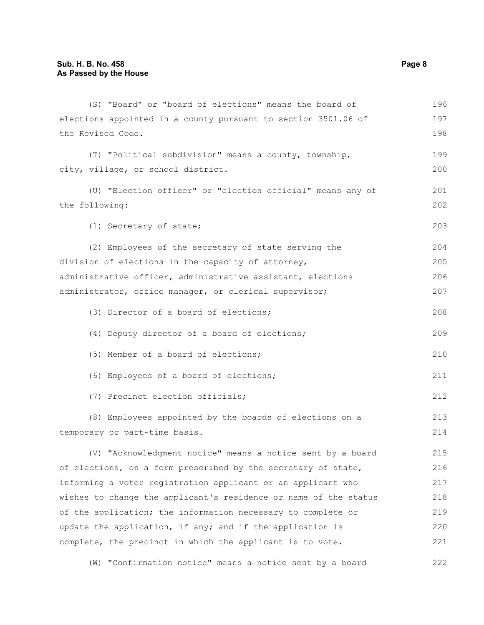| (S) "Board" or "board of elections" means the board of           | 196 |
|------------------------------------------------------------------|-----|
| elections appointed in a county pursuant to section 3501.06 of   | 197 |
| the Revised Code.                                                | 198 |
| (T) "Political subdivision" means a county, township,            | 199 |
| city, village, or school district.                               | 200 |
| (U) "Election officer" or "election official" means any of       | 201 |
| the following:                                                   | 202 |
| (1) Secretary of state;                                          | 203 |
| (2) Employees of the secretary of state serving the              | 204 |
| division of elections in the capacity of attorney,               | 205 |
| administrative officer, administrative assistant, elections      | 206 |
| administrator, office manager, or clerical supervisor;           | 207 |
| (3) Director of a board of elections;                            | 208 |
| (4) Deputy director of a board of elections;                     | 209 |
| (5) Member of a board of elections;                              | 210 |
| (6) Employees of a board of elections;                           | 211 |
| (7) Precinct election officials;                                 | 212 |
| (8) Employees appointed by the boards of elections on a          | 213 |
| temporary or part-time basis.                                    | 214 |
| (V) "Acknowledgment notice" means a notice sent by a board       | 215 |
| of elections, on a form prescribed by the secretary of state,    | 216 |
| informing a voter registration applicant or an applicant who     | 217 |
| wishes to change the applicant's residence or name of the status | 218 |
| of the application; the information necessary to complete or     | 219 |
| update the application, if any; and if the application is        | 220 |
| complete, the precinct in which the applicant is to vote.        | 221 |
|                                                                  |     |

(W) "Confirmation notice" means a notice sent by a board 222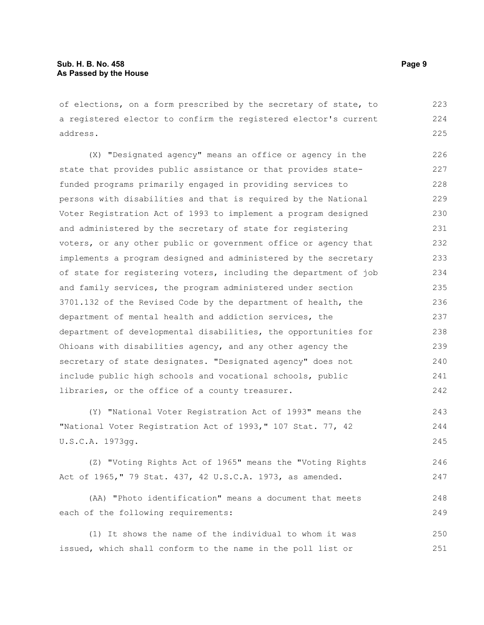of elections, on a form prescribed by the secretary of state, to a registered elector to confirm the registered elector's current address. 223 224 225

(X) "Designated agency" means an office or agency in the state that provides public assistance or that provides statefunded programs primarily engaged in providing services to persons with disabilities and that is required by the National Voter Registration Act of 1993 to implement a program designed and administered by the secretary of state for registering voters, or any other public or government office or agency that implements a program designed and administered by the secretary of state for registering voters, including the department of job and family services, the program administered under section 3701.132 of the Revised Code by the department of health, the department of mental health and addiction services, the department of developmental disabilities, the opportunities for Ohioans with disabilities agency, and any other agency the secretary of state designates. "Designated agency" does not include public high schools and vocational schools, public libraries, or the office of a county treasurer. 226 227 228 229 230 231 232 233 234 235 236 237 238 239 240 241 242

(Y) "National Voter Registration Act of 1993" means the "National Voter Registration Act of 1993," 107 Stat. 77, 42 U.S.C.A. 1973gg. 243 244 245

(Z) "Voting Rights Act of 1965" means the "Voting Rights Act of 1965," 79 Stat. 437, 42 U.S.C.A. 1973, as amended. 246 247

(AA) "Photo identification" means a document that meets each of the following requirements:

(1) It shows the name of the individual to whom it was issued, which shall conform to the name in the poll list or 250 251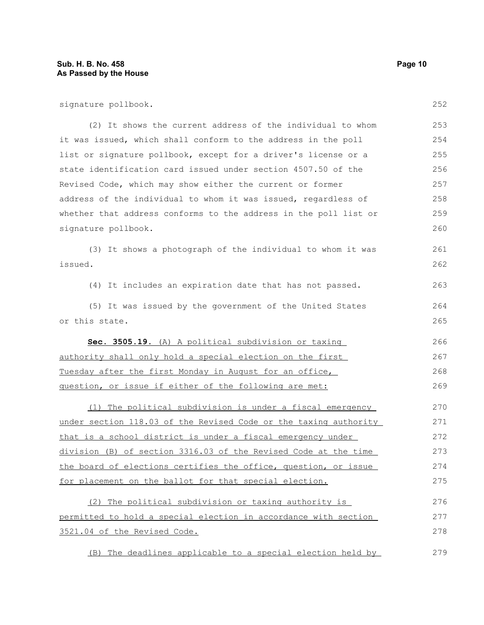signature pollbook.

(2) It shows the current address of the individual to whom it was issued, which shall conform to the address in the poll list or signature pollbook, except for a driver's license or a state identification card issued under section 4507.50 of the Revised Code, which may show either the current or former address of the individual to whom it was issued, regardless of whether that address conforms to the address in the poll list or signature pollbook. 253 254 255 256 257 258 259 260

(3) It shows a photograph of the individual to whom it was issued. 261 262

(4) It includes an expiration date that has not passed.

(5) It was issued by the government of the United States or this state. 264 265

 **Sec. 3505.19.** (A) A political subdivision or taxing authority shall only hold a special election on the first Tuesday after the first Monday in August for an office, guestion, or issue if either of the following are met: 266 267 268 269

(1) The political subdivision is under a fiscal emergency under section 118.03 of the Revised Code or the taxing authority that is a school district is under a fiscal emergency under division (B) of section 3316.03 of the Revised Code at the time the board of elections certifies the office, question, or issue for placement on the ballot for that special election. 270 271 272 273 274 275

(2) The political subdivision or taxing authority is permitted to hold a special election in accordance with section 3521.04 of the Revised Code. 276 277 278

(B) The deadlines applicable to a special election held by 279

252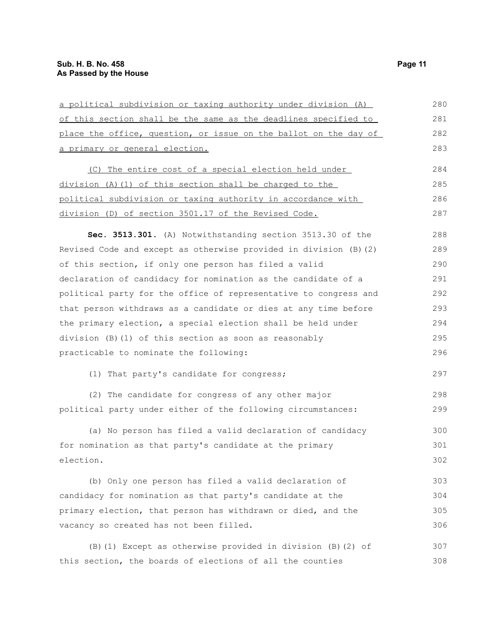| a political subdivision or taxing authority under division (A)    |     |
|-------------------------------------------------------------------|-----|
| of this section shall be the same as the deadlines specified to   | 281 |
| place the office, question, or issue on the ballot on the day of  | 282 |
| a primary or general election.                                    | 283 |
| (C) The entire cost of a special election held under              | 284 |
| $division$ (A) (1) of this section shall be charged to the        | 285 |
| political subdivision or taxing authority in accordance with      | 286 |
| division (D) of section 3501.17 of the Revised Code.              | 287 |
| Sec. 3513.301. (A) Notwithstanding section 3513.30 of the         | 288 |
| Revised Code and except as otherwise provided in division (B) (2) | 289 |
| of this section, if only one person has filed a valid             | 290 |
| declaration of candidacy for nomination as the candidate of a     | 291 |
| political party for the office of representative to congress and  | 292 |
| that person withdraws as a candidate or dies at any time before   | 293 |
| the primary election, a special election shall be held under      | 294 |
| division (B) (1) of this section as soon as reasonably            | 295 |
| practicable to nominate the following:                            | 296 |
| (1) That party's candidate for congress;                          | 297 |
| (2) The candidate for congress of any other major                 | 298 |
| political party under either of the following circumstances:      | 299 |
| (a) No person has filed a valid declaration of candidacy          | 300 |
| for nomination as that party's candidate at the primary           | 301 |
| election.                                                         | 302 |
| (b) Only one person has filed a valid declaration of              | 303 |
| candidacy for nomination as that party's candidate at the         | 304 |
| primary election, that person has withdrawn or died, and the      |     |
| vacancy so created has not been filled.                           | 306 |
| (B) (1) Except as otherwise provided in division (B) (2) of       | 307 |
| this section, the boards of elections of all the counties         | 308 |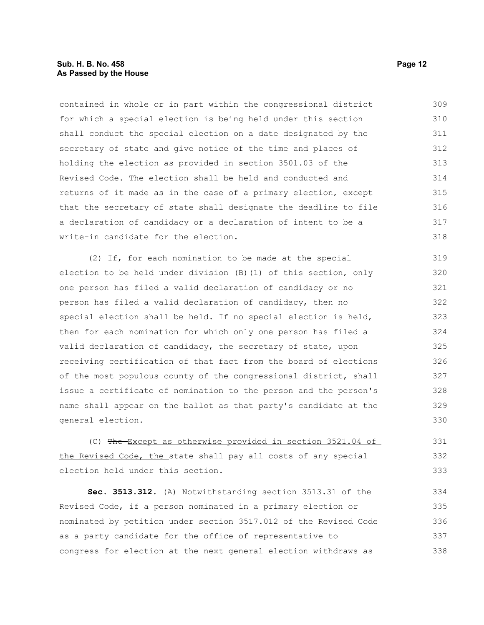#### **Sub. H. B. No. 458 Page 12 As Passed by the House**

contained in whole or in part within the congressional district for which a special election is being held under this section shall conduct the special election on a date designated by the secretary of state and give notice of the time and places of holding the election as provided in section 3501.03 of the Revised Code. The election shall be held and conducted and returns of it made as in the case of a primary election, except that the secretary of state shall designate the deadline to file a declaration of candidacy or a declaration of intent to be a write-in candidate for the election. 309 310 311 312 313 314 315 316 317 318

(2) If, for each nomination to be made at the special election to be held under division (B)(1) of this section, only one person has filed a valid declaration of candidacy or no person has filed a valid declaration of candidacy, then no special election shall be held. If no special election is held, then for each nomination for which only one person has filed a valid declaration of candidacy, the secretary of state, upon receiving certification of that fact from the board of elections of the most populous county of the congressional district, shall issue a certificate of nomination to the person and the person's name shall appear on the ballot as that party's candidate at the general election. 319 320 321 322 323 324 325 326 327 328 329 330

(C) The Except as otherwise provided in section 3521.04 of the Revised Code, the state shall pay all costs of any special election held under this section.

**Sec. 3513.312.** (A) Notwithstanding section 3513.31 of the Revised Code, if a person nominated in a primary election or nominated by petition under section 3517.012 of the Revised Code as a party candidate for the office of representative to congress for election at the next general election withdraws as 334 335 336 337 338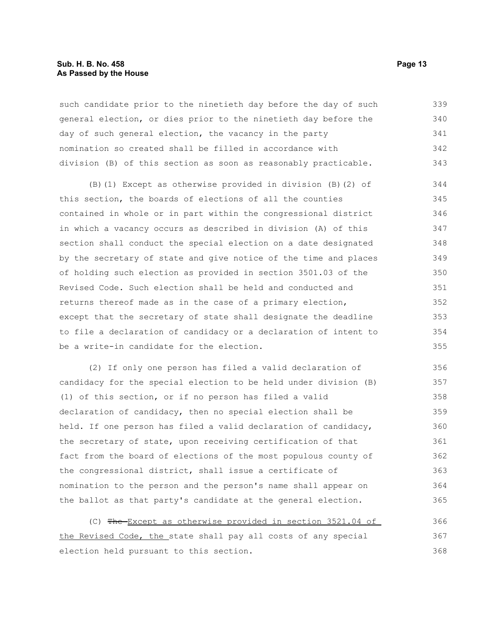#### **Sub. H. B. No. 458 Page 13 As Passed by the House**

such candidate prior to the ninetieth day before the day of such general election, or dies prior to the ninetieth day before the day of such general election, the vacancy in the party nomination so created shall be filled in accordance with division (B) of this section as soon as reasonably practicable. 339 340 341 342 343

(B)(1) Except as otherwise provided in division (B)(2) of this section, the boards of elections of all the counties contained in whole or in part within the congressional district in which a vacancy occurs as described in division (A) of this section shall conduct the special election on a date designated by the secretary of state and give notice of the time and places of holding such election as provided in section 3501.03 of the Revised Code. Such election shall be held and conducted and returns thereof made as in the case of a primary election, except that the secretary of state shall designate the deadline to file a declaration of candidacy or a declaration of intent to be a write-in candidate for the election. 344 345 346 347 348 349 350 351 352 353 354 355

(2) If only one person has filed a valid declaration of candidacy for the special election to be held under division (B) (1) of this section, or if no person has filed a valid declaration of candidacy, then no special election shall be held. If one person has filed a valid declaration of candidacy, the secretary of state, upon receiving certification of that fact from the board of elections of the most populous county of the congressional district, shall issue a certificate of nomination to the person and the person's name shall appear on the ballot as that party's candidate at the general election. 356 357 358 359 360 361 362 363 364 365

(C) The Except as otherwise provided in section 3521.04 of the Revised Code, the state shall pay all costs of any special election held pursuant to this section. 366 367 368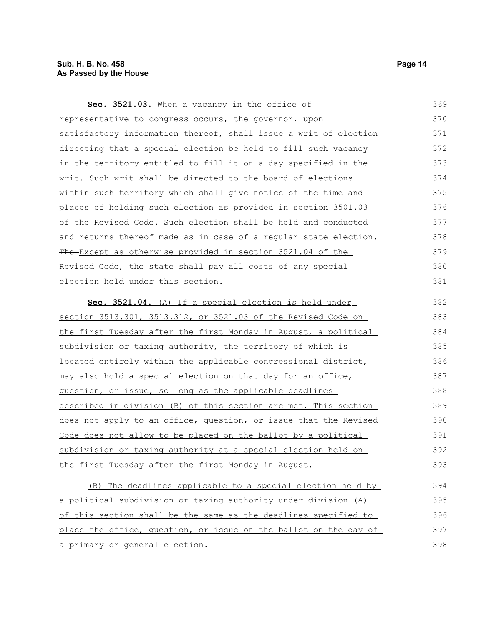### **Sub. H. B. No. 458 Page 14 As Passed by the House**

| Sec. 3521.03. When a vacancy in the office of                    | 369 |
|------------------------------------------------------------------|-----|
| representative to congress occurs, the governor, upon            | 370 |
| satisfactory information thereof, shall issue a writ of election | 371 |
| directing that a special election be held to fill such vacancy   | 372 |
| in the territory entitled to fill it on a day specified in the   | 373 |
| writ. Such writ shall be directed to the board of elections      | 374 |
| within such territory which shall give notice of the time and    | 375 |
| places of holding such election as provided in section 3501.03   | 376 |
| of the Revised Code. Such election shall be held and conducted   | 377 |
| and returns thereof made as in case of a regular state election. | 378 |
| The Except as otherwise provided in section 3521.04 of the       | 379 |
| Revised Code, the state shall pay all costs of any special       | 380 |
| election held under this section.                                | 381 |
| Sec. 3521.04. (A) If a special election is held under            | 382 |
| section 3513.301, 3513.312, or 3521.03 of the Revised Code on    | 383 |
|                                                                  | 384 |
| the first Tuesday after the first Monday in August, a political  | 385 |
| subdivision or taxing authority, the territory of which is       | 386 |
| located entirely within the applicable congressional district,   |     |
| may also hold a special election on that day for an office,      | 387 |
| question, or issue, so long as the applicable deadlines          | 388 |
| described in division (B) of this section are met. This section  | 389 |
| does not apply to an office, question, or issue that the Revised | 390 |
| Code does not allow to be placed on the ballot by a political    | 391 |
| subdivision or taxing authority at a special election held on    | 392 |
| the first Tuesday after the first Monday in August.              | 393 |
| (B) The deadlines applicable to a special election held by       | 394 |
| a political subdivision or taxing authority under division (A)   | 395 |
| of this section shall be the same as the deadlines specified to  | 396 |
| place the office, question, or issue on the ballot on the day of | 397 |
| a primary or general election.                                   | 398 |